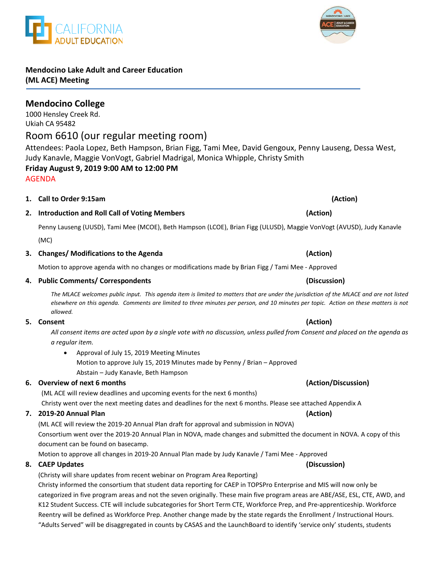(ML ACE will review the 2019-20 Annual Plan draft for approval and submission in NOVA) Consortium went over the 2019-20 Annual Plan in NOVA, made changes and submitted the document in NOVA. A copy of this document can be found on basecamp.

Motion to approve all changes in 2019-20 Annual Plan made by Judy Kanavle / Tami Mee - Approved

# **8. CAEP Updates (Discussion)**

(Christy will share updates from recent webinar on Program Area Reporting)

Christy informed the consortium that student data reporting for CAEP in TOPSPro Enterprise and MIS will now only be categorized in five program areas and not the seven originally. These main five program areas are ABE/ASE, ESL, CTE, AWD, and K12 Student Success. CTE will include subcategories for Short Term CTE, Workforce Prep, and Pre-apprenticeship. Workforce Reentry will be defined as Workforce Prep. Another change made by the state regards the Enrollment / Instructional Hours. "Adults Served" will be disaggregated in counts by CASAS and the LaunchBoard to identify 'service only' students, students

# **Mendocino Lake Adult and Career Education (ML ACE) Meeting**

# **Mendocino College**  1000 Hensley Creek Rd.

# Ukiah CA 95482 Room 6610 (our regular meeting room)

Attendees: Paola Lopez, Beth Hampson, Brian Figg, Tami Mee, David Gengoux, Penny Lauseng, Dessa West, Judy Kanavle, Maggie VonVogt, Gabriel Madrigal, Monica Whipple, Christy Smith **Friday August 9, 2019 9:00 AM to 12:00 PM**

AGENDA

# **2. Introduction and Roll Call of Voting Members (Action)** Penny Lauseng (UUSD), Tami Mee (MCOE), Beth Hampson (LCOE), Brian Figg (ULUSD), Maggie VonVogt (AVUSD), Judy Kanavle

(MC)

### **3. Changes/ Modifications to the Agenda (Action)**

Motion to approve agenda with no changes or modifications made by Brian Figg / Tami Mee - Approved

**1. Call to Order 9:15am (Action)**

### **4. Public Comments/ Correspondents (Discussion)**

*The MLACE welcomes public input. This agenda item is limited to matters that are under the jurisdiction of the MLACE and are not listed elsewhere on this agenda. Comments are limited to three minutes per person, and 10 minutes per topic. Action on these matters is not allowed.*

*All consent items are acted upon by a single vote with no discussion, unless pulled from Consent and placed on the agenda as a regular item.* 

• Approval of July 15, 2019 Meeting Minutes Motion to approve July 15, 2019 Minutes made by Penny / Brian – Approved Abstain – Judy Kanavle, Beth Hampson

# **6. Overview of next 6 months (Action/Discussion)**

(ML ACE will review deadlines and upcoming events for the next 6 months)

Christy went over the next meeting dates and deadlines for the next 6 months. Please see attached Appendix A

**7. 2019-20 Annual Plan (Action)**

**5. Consent (Action)**